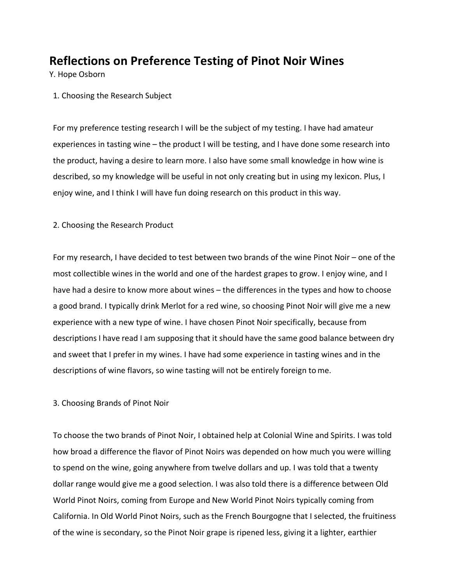## **Reflections on Preference Testing of Pinot Noir Wines**

Y. Hope Osborn

1. Choosing the Research Subject

For my preference testing research I will be the subject of my testing. I have had amateur experiences in tasting wine – the product I will be testing, and I have done some research into the product, having a desire to learn more. I also have some small knowledge in how wine is described, so my knowledge will be useful in not only creating but in using my lexicon. Plus, I enjoy wine, and I think I will have fun doing research on this product in this way.

## 2. Choosing the Research Product

For my research, I have decided to test between two brands of the wine Pinot Noir – one of the most collectible wines in the world and one of the hardest grapes to grow. I enjoy wine, and I have had a desire to know more about wines – the differences in the types and how to choose a good brand. I typically drink Merlot for a red wine, so choosing Pinot Noir will give me a new experience with a new type of wine. I have chosen Pinot Noir specifically, because from descriptions I have read I am supposing that it should have the same good balance between dry and sweet that I prefer in my wines. I have had some experience in tasting wines and in the descriptions of wine flavors, so wine tasting will not be entirely foreign tome.

## 3. Choosing Brands of Pinot Noir

To choose the two brands of Pinot Noir, I obtained help at Colonial Wine and Spirits. I was told how broad a difference the flavor of Pinot Noirs was depended on how much you were willing to spend on the wine, going anywhere from twelve dollars and up. I was told that a twenty dollar range would give me a good selection. I was also told there is a difference between Old World Pinot Noirs, coming from Europe and New World Pinot Noirs typically coming from California. In Old World Pinot Noirs, such as the French Bourgogne that I selected, the fruitiness of the wine is secondary, so the Pinot Noir grape is ripened less, giving it a lighter, earthier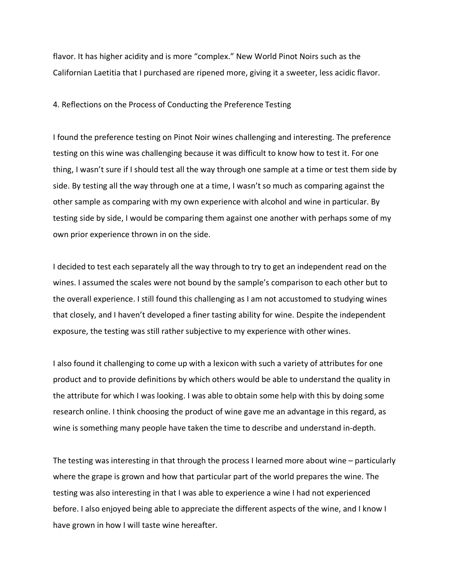flavor. It has higher acidity and is more "complex." New World Pinot Noirs such as the Californian Laetitia that I purchased are ripened more, giving it a sweeter, less acidic flavor.

## 4. Reflections on the Process of Conducting the Preference Testing

I found the preference testing on Pinot Noir wines challenging and interesting. The preference testing on this wine was challenging because it was difficult to know how to test it. For one thing, I wasn't sure if I should test all the way through one sample at a time or test them side by side. By testing all the way through one at a time, I wasn't so much as comparing against the other sample as comparing with my own experience with alcohol and wine in particular. By testing side by side, I would be comparing them against one another with perhaps some of my own prior experience thrown in on the side.

I decided to test each separately all the way through to try to get an independent read on the wines. I assumed the scales were not bound by the sample's comparison to each other but to the overall experience. I still found this challenging as I am not accustomed to studying wines that closely, and I haven't developed a finer tasting ability for wine. Despite the independent exposure, the testing was still rather subjective to my experience with other wines.

I also found it challenging to come up with a lexicon with such a variety of attributes for one product and to provide definitions by which others would be able to understand the quality in the attribute for which I was looking. I was able to obtain some help with this by doing some research online. I think choosing the product of wine gave me an advantage in this regard, as wine is something many people have taken the time to describe and understand in-depth.

The testing was interesting in that through the process I learned more about wine – particularly where the grape is grown and how that particular part of the world prepares the wine. The testing was also interesting in that I was able to experience a wine I had not experienced before. I also enjoyed being able to appreciate the different aspects of the wine, and I know I have grown in how I will taste wine hereafter.